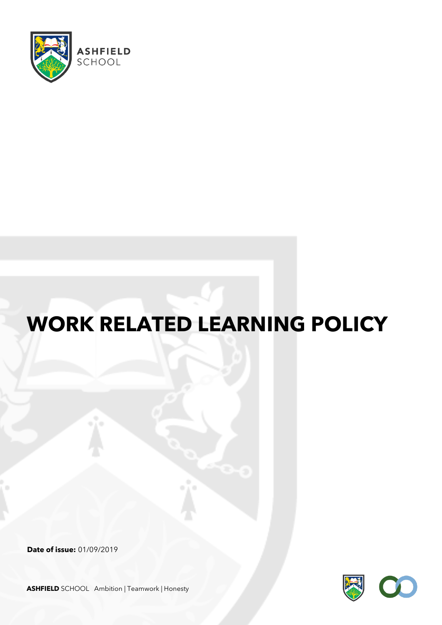

# **WORK RELATED LEARNING POLICY**

**Date of issue:** 01/09/2019



**ASHFIELD** SCHOOL Ambition | Teamwork | Honesty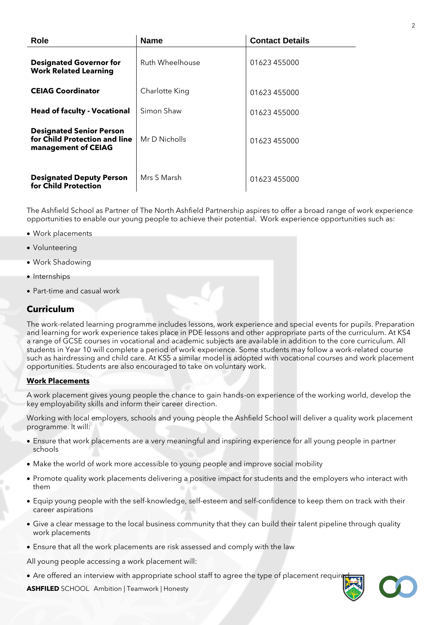| <b>Role</b>                                                                             | <b>Name</b>     | <b>Contact Details</b> |
|-----------------------------------------------------------------------------------------|-----------------|------------------------|
| <b>Designated Governor for</b><br><b>Work Related Learning</b>                          | Ruth Wheelhouse | 01623 455000           |
| <b>CEIAG Coordinator</b>                                                                | Charlotte King  | 01623 455000           |
| <b>Head of faculty - Vocational</b>                                                     | Simon Shaw      | 01623 455000           |
| <b>Designated Senior Person</b><br>for Child Protection and line<br>management of CEIAG | Mr D Nicholls   | 01623 455000           |
| <b>Designated Deputy Person</b><br>for Child Protection                                 | Mrs S Marsh     | 01623 455000           |

The Ashfield School as Partner of The North Ashfield Partnership aspires to offer a broad range of work experience opportunities to enable our young people to achieve their potential. Work experience opportunities such as:

- Work placements
- Volunteering
- Work Shadowing
- Internships
- Part-time and casual work

### **Curriculum**

The work-related learning programme includes lessons, work experience and special events for pupils. Preparation and learning for work experience takes place in PDE lessons and other appropriate parts of the curriculum. At KS4 a range of GCSE courses in vocational and academic subjects are available in addition to the core curriculum. All students in Year 10 will complete a period of work experience. Some students may follow a work-related course such as hairdressing and child care. At KS5 a similar model is adopted with vocational courses and work placement opportunities. Students are also encouraged to take on voluntary work.

### **Work Placements**

A work placement gives young people the chance to gain hands-on experience of the working world, develop the key employability skills and inform their career direction.

Working with local employers, schools and young people the Ashfield School will deliver a quality work placement programme. It will:

- Ensure that work placements are a very meaningful and inspiring experience for all young people in partner schools
- Make the world of work more accessible to young people and improve social mobility
- Promote quality work placements delivering a positive impact for students and the employers who interact with them
- Equip young people with the self-knowledge, self-esteem and self-confidence to keep them on track with their career aspirations
- Give a clear message to the local business community that they can build their talent pipeline through quality work placements
- Ensure that all the work placements are risk assessed and comply with the law

All young people accessing a work placement will:

• Are offered an interview with appropriate school staff to agree the type of placement required

**ASHFILED** SCHOOL Ambition | Teamwork | Honesty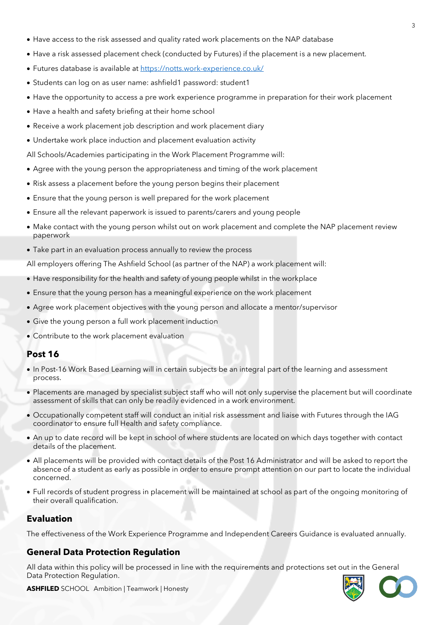- Have access to the risk assessed and quality rated work placements on the NAP database
- Have a risk assessed placement check (conducted by Futures) if the placement is a new placement.
- Futures database is available at<https://notts.work-experience.co.uk/>
- Students can log on as user name: ashfield1 password: student1
- Have the opportunity to access a pre work experience programme in preparation for their work placement
- Have a health and safety briefing at their home school
- Receive a work placement job description and work placement diary
- Undertake work place induction and placement evaluation activity
- All Schools/Academies participating in the Work Placement Programme will:
- Agree with the young person the appropriateness and timing of the work placement
- Risk assess a placement before the young person begins their placement
- Ensure that the young person is well prepared for the work placement
- Ensure all the relevant paperwork is issued to parents/carers and young people
- Make contact with the young person whilst out on work placement and complete the NAP placement review paperwork
- Take part in an evaluation process annually to review the process

All employers offering The Ashfield School (as partner of the NAP) a work placement will:

- Have responsibility for the health and safety of young people whilst in the workplace
- Ensure that the young person has a meaningful experience on the work placement
- Agree work placement objectives with the young person and allocate a mentor/supervisor
- Give the young person a full work placement induction
- Contribute to the work placement evaluation

### **Post 16**

- In Post-16 Work Based Learning will in certain subjects be an integral part of the learning and assessment process.
- Placements are managed by specialist subject staff who will not only supervise the placement but will coordinate assessment of skills that can only be readily evidenced in a work environment.
- Occupationally competent staff will conduct an initial risk assessment and liaise with Futures through the IAG coordinator to ensure full Health and safety compliance.
- An up to date record will be kept in school of where students are located on which days together with contact details of the placement.
- All placements will be provided with contact details of the Post 16 Administrator and will be asked to report the absence of a student as early as possible in order to ensure prompt attention on our part to locate the individual concerned.
- Full records of student progress in placement will be maintained at school as part of the ongoing monitoring of their overall qualification.

## **Evaluation**

The effectiveness of the Work Experience Programme and Independent Careers Guidance is evaluated annually.

## **General Data Protection Regulation**

All data within this policy will be processed in line with the requirements and protections set out in the General Data Protection Regulation.



**ASHFILED** SCHOOL Ambition | Teamwork | Honesty